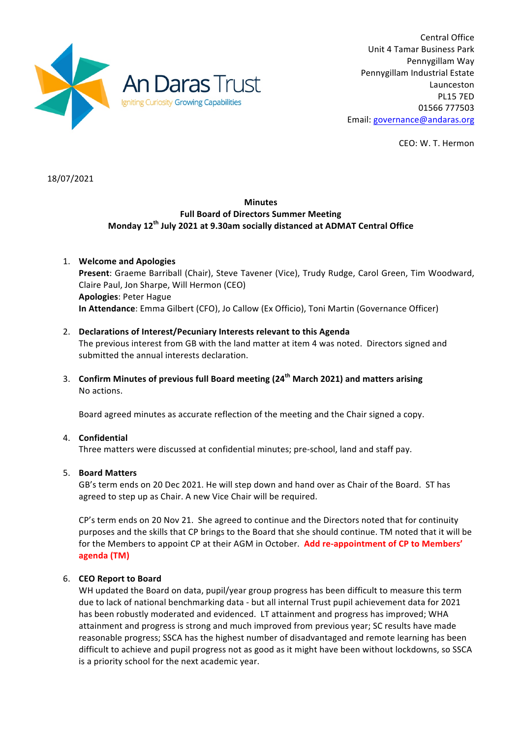

Central Office Unit 4 Tamar Business Park Pennygillam Way Pennygillam Industrial Estate Launceston PL15 7ED 01566 777503 Email: governance@andaras.org

CEO: W. T. Hermon

18/07/2021

## **Minutes Full Board of Directors Summer Meeting Monday 12th July 2021 at 9.30am socially distanced at ADMAT Central Office**

1. **Welcome and Apologies** Present: Graeme Barriball (Chair), Steve Tavener (Vice), Trudy Rudge, Carol Green, Tim Woodward, Claire Paul, Jon Sharpe, Will Hermon (CEO) **Apologies**: Peter Hague **In Attendance**: Emma Gilbert (CFO), Jo Callow (Ex Officio), Toni Martin (Governance Officer)

## 2. **Declarations of Interest/Pecuniary Interests relevant to this Agenda** The previous interest from GB with the land matter at item 4 was noted. Directors signed and submitted the annual interests declaration.

3. **Confirm Minutes of previous full Board meeting (24<sup>th</sup> March 2021) and matters arising** No actions.

Board agreed minutes as accurate reflection of the meeting and the Chair signed a copy.

# 4. **Confidential**

Three matters were discussed at confidential minutes; pre-school, land and staff pay.

## 5. **Board Matters**

GB's term ends on 20 Dec 2021. He will step down and hand over as Chair of the Board. ST has agreed to step up as Chair. A new Vice Chair will be required.

CP's term ends on 20 Nov 21. She agreed to continue and the Directors noted that for continuity purposes and the skills that CP brings to the Board that she should continue. TM noted that it will be for the Members to appoint CP at their AGM in October. Add re-appointment of CP to Members' **agenda (TM)**

# 6. **CEO Report to Board**

WH updated the Board on data, pupil/year group progress has been difficult to measure this term due to lack of national benchmarking data - but all internal Trust pupil achievement data for 2021 has been robustly moderated and evidenced. LT attainment and progress has improved; WHA attainment and progress is strong and much improved from previous year; SC results have made reasonable progress; SSCA has the highest number of disadvantaged and remote learning has been difficult to achieve and pupil progress not as good as it might have been without lockdowns, so SSCA is a priority school for the next academic year.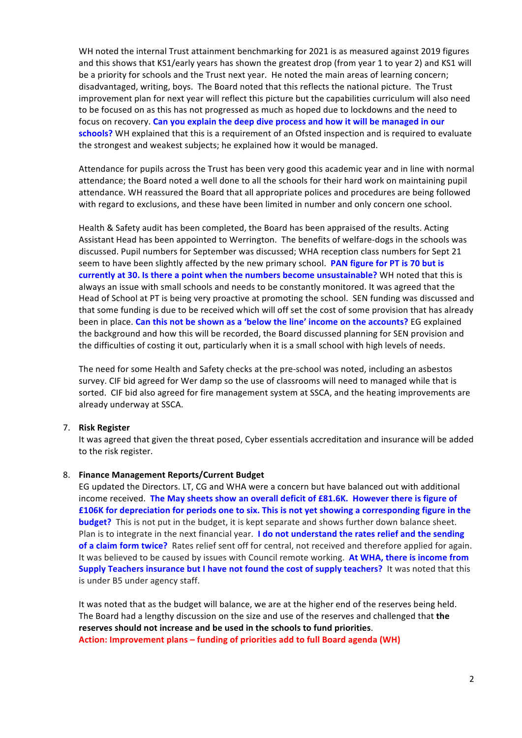WH noted the internal Trust attainment benchmarking for 2021 is as measured against 2019 figures and this shows that KS1/early years has shown the greatest drop (from year 1 to year 2) and KS1 will be a priority for schools and the Trust next year. He noted the main areas of learning concern; disadvantaged, writing, boys. The Board noted that this reflects the national picture. The Trust improvement plan for next year will reflect this picture but the capabilities curriculum will also need to be focused on as this has not progressed as much as hoped due to lockdowns and the need to focus on recovery. Can you explain the deep dive process and how it will be managed in our **schools?** WH explained that this is a requirement of an Ofsted inspection and is required to evaluate the strongest and weakest subjects; he explained how it would be managed.

Attendance for pupils across the Trust has been very good this academic year and in line with normal attendance; the Board noted a well done to all the schools for their hard work on maintaining pupil attendance. WH reassured the Board that all appropriate polices and procedures are being followed with regard to exclusions, and these have been limited in number and only concern one school.

Health & Safety audit has been completed, the Board has been appraised of the results. Acting Assistant Head has been appointed to Werrington. The benefits of welfare-dogs in the schools was discussed. Pupil numbers for September was discussed; WHA reception class numbers for Sept 21 seem to have been slightly affected by the new primary school. **PAN figure for PT is 70 but is currently at 30. Is there a point when the numbers become unsustainable?** WH noted that this is always an issue with small schools and needs to be constantly monitored. It was agreed that the Head of School at PT is being very proactive at promoting the school. SEN funding was discussed and that some funding is due to be received which will off set the cost of some provision that has already been in place. **Can this not be shown as a 'below the line' income on the accounts?** EG explained the background and how this will be recorded, the Board discussed planning for SEN provision and the difficulties of costing it out, particularly when it is a small school with high levels of needs.

The need for some Health and Safety checks at the pre-school was noted, including an asbestos survey. CIF bid agreed for Wer damp so the use of classrooms will need to managed while that is sorted. CIF bid also agreed for fire management system at SSCA, and the heating improvements are already underway at SSCA.

#### 7. **Risk Register**

It was agreed that given the threat posed, Cyber essentials accreditation and insurance will be added to the risk register.

#### 8. **Finance Management Reports/Current Budget**

EG updated the Directors. LT, CG and WHA were a concern but have balanced out with additional income received. The May sheets show an overall deficit of £81.6K. However there is figure of **£106K** for depreciation for periods one to six. This is not yet showing a corresponding figure in the **budget?** This is not put in the budget, it is kept separate and shows further down balance sheet. Plan is to integrate in the next financial year. **I do not understand the rates relief and the sending of a claim form twice?** Rates relief sent off for central, not received and therefore applied for again. It was believed to be caused by issues with Council remote working. At WHA, there is income from **Supply Teachers insurance but I have not found the cost of supply teachers?** It was noted that this is under B5 under agency staff.

It was noted that as the budget will balance, we are at the higher end of the reserves being held. The Board had a lengthy discussion on the size and use of the reserves and challenged that **the** reserves should not increase and be used in the schools to fund priorities. **Action: Improvement plans – funding of priorities add to full Board agenda (WH)**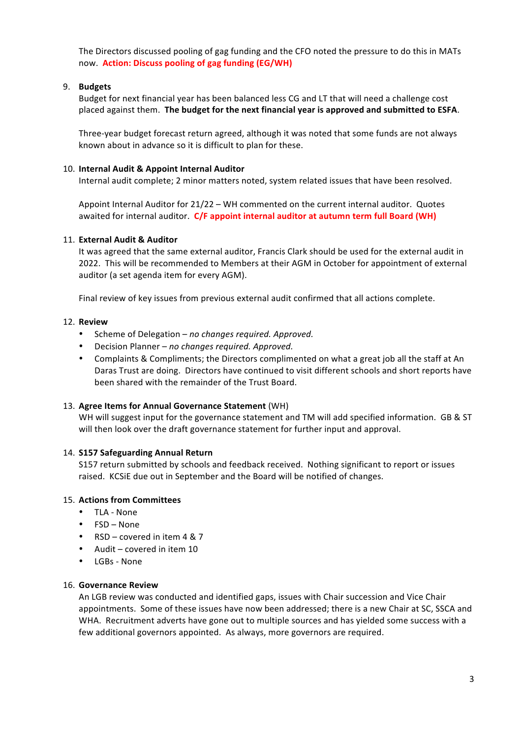The Directors discussed pooling of gag funding and the CFO noted the pressure to do this in MATs now. **Action: Discuss pooling of gag funding (EG/WH)** 

## 9. **Budgets**

Budget for next financial year has been balanced less CG and LT that will need a challenge cost placed against them. The budget for the next financial year is approved and submitted to ESFA.

Three-year budget forecast return agreed, although it was noted that some funds are not always known about in advance so it is difficult to plan for these.

## 10. **Internal Audit & Appoint Internal Auditor**

Internal audit complete; 2 minor matters noted, system related issues that have been resolved.

Appoint Internal Auditor for  $21/22 - WH$  commented on the current internal auditor. Quotes awaited for internal auditor. C/F appoint internal auditor at autumn term full Board (WH)

## 11. **External Audit & Auditor**

It was agreed that the same external auditor, Francis Clark should be used for the external audit in 2022. This will be recommended to Members at their AGM in October for appointment of external auditor (a set agenda item for every AGM).

Final review of key issues from previous external audit confirmed that all actions complete.

## 12. **Review**

- Scheme of Delegation *no changes required. Approved.*
- Decision Planner no changes required. Approved.
- Complaints & Compliments; the Directors complimented on what a great job all the staff at An Daras Trust are doing. Directors have continued to visit different schools and short reports have been shared with the remainder of the Trust Board.

## 13. Agree Items for Annual Governance Statement (WH)

WH will suggest input for the governance statement and TM will add specified information. GB & ST will then look over the draft governance statement for further input and approval.

## 14. **S157 Safeguarding Annual Return**

S157 return submitted by schools and feedback received. Nothing significant to report or issues raised. KCSiE due out in September and the Board will be notified of changes.

## 15. Actions from Committees

- TLA None
- $\cdot$  FSD None
- RSD covered in item  $4 & 87$
- Audit covered in item  $10$
- LGBs None

## 16. **Governance Review**

An LGB review was conducted and identified gaps, issues with Chair succession and Vice Chair appointments. Some of these issues have now been addressed; there is a new Chair at SC, SSCA and WHA. Recruitment adverts have gone out to multiple sources and has yielded some success with a few additional governors appointed. As always, more governors are required.